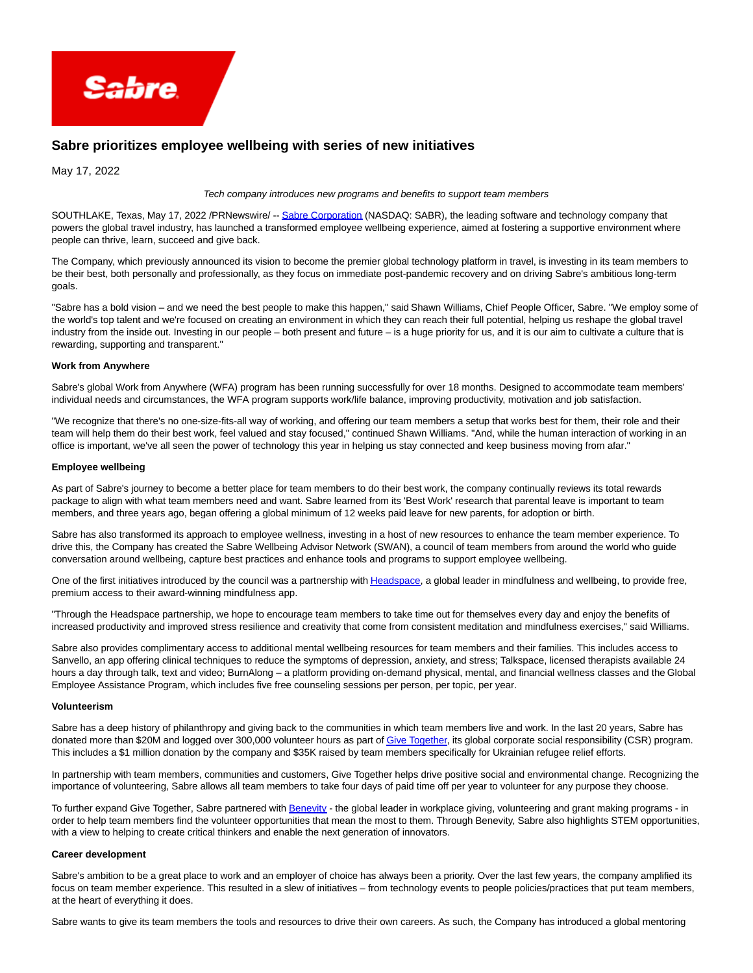

# **Sabre prioritizes employee wellbeing with series of new initiatives**

May 17, 2022

#### Tech company introduces new programs and benefits to support team members

SOUTHLAKE, Texas, May 17, 2022 /PRNewswire/ -[- Sabre Corporation \(](https://c212.net/c/link/?t=0&l=en&o=3539509-1&h=1579177272&u=https%3A%2F%2Fwww.sabre.com%2F&a=Sabre+Corporation)NASDAQ: SABR), the leading software and technology company that powers the global travel industry, has launched a transformed employee wellbeing experience, aimed at fostering a supportive environment where people can thrive, learn, succeed and give back.

The Company, which previously announced its vision to become the premier global technology platform in travel, is investing in its team members to be their best, both personally and professionally, as they focus on immediate post-pandemic recovery and on driving Sabre's ambitious long-term goals.

"Sabre has a bold vision – and we need the best people to make this happen," said Shawn Williams, Chief People Officer, Sabre. "We employ some of the world's top talent and we're focused on creating an environment in which they can reach their full potential, helping us reshape the global travel industry from the inside out. Investing in our people – both present and future – is a huge priority for us, and it is our aim to cultivate a culture that is rewarding, supporting and transparent."

#### **Work from Anywhere**

Sabre's global Work from Anywhere (WFA) program has been running successfully for over 18 months. Designed to accommodate team members' individual needs and circumstances, the WFA program supports work/life balance, improving productivity, motivation and job satisfaction.

"We recognize that there's no one-size-fits-all way of working, and offering our team members a setup that works best for them, their role and their team will help them do their best work, feel valued and stay focused," continued Shawn Williams. "And, while the human interaction of working in an office is important, we've all seen the power of technology this year in helping us stay connected and keep business moving from afar."

#### **Employee wellbeing**

As part of Sabre's journey to become a better place for team members to do their best work, the company continually reviews its total rewards package to align with what team members need and want. Sabre learned from its 'Best Work' research that parental leave is important to team members, and three years ago, began offering a global minimum of 12 weeks paid leave for new parents, for adoption or birth.

Sabre has also transformed its approach to employee wellness, investing in a host of new resources to enhance the team member experience. To drive this, the Company has created the Sabre Wellbeing Advisor Network (SWAN), a council of team members from around the world who guide conversation around wellbeing, capture best practices and enhance tools and programs to support employee wellbeing.

One of the first initiatives introduced by the council was a partnership wit[h Headspace,](https://c212.net/c/link/?t=0&l=en&o=3539509-1&h=1364959267&u=http%3A%2F%2Fwww.headspace.com%2F&a=Headspace) a global leader in mindfulness and wellbeing, to provide free, premium access to their award-winning mindfulness app.

"Through the Headspace partnership, we hope to encourage team members to take time out for themselves every day and enjoy the benefits of increased productivity and improved stress resilience and creativity that come from consistent meditation and mindfulness exercises," said Williams.

Sabre also provides complimentary access to additional mental wellbeing resources for team members and their families. This includes access to Sanvello, an app offering clinical techniques to reduce the symptoms of depression, anxiety, and stress; Talkspace, licensed therapists available 24 hours a day through talk, text and video; BurnAlong – a platform providing on-demand physical, mental, and financial wellness classes and the Global Employee Assistance Program, which includes five free counseling sessions per person, per topic, per year.

#### **Volunteerism**

Sabre has a deep history of philanthropy and giving back to the communities in which team members live and work. In the last 20 years, Sabre has donated more than \$20M and logged over 300,000 volunteer hours as part o[f Give Together,](https://c212.net/c/link/?t=0&l=en&o=3539509-1&h=1964546842&u=https%3A%2F%2Fsabresync.unily.com%2Fsites%2Fgive-together&a=Give+Together) its global corporate social responsibility (CSR) program. This includes a \$1 million donation by the company and \$35K raised by team members specifically for Ukrainian refugee relief efforts.

In partnership with team members, communities and customers, Give Together helps drive positive social and environmental change. Recognizing the importance of volunteering, Sabre allows all team members to take four days of paid time off per year to volunteer for any purpose they choose.

To further expand Give Together, Sabre partnered wit[h Benevity -](https://c212.net/c/link/?t=0&l=en&o=3539509-1&h=3101325609&u=http%3A%2F%2Fwww.benevity.com%2F&a=Benevity) the global leader in workplace giving, volunteering and grant making programs - in order to help team members find the volunteer opportunities that mean the most to them. Through Benevity, Sabre also highlights STEM opportunities, with a view to helping to create critical thinkers and enable the next generation of innovators.

#### **Career development**

Sabre's ambition to be a great place to work and an employer of choice has always been a priority. Over the last few years, the company amplified its focus on team member experience. This resulted in a slew of initiatives – from technology events to people policies/practices that put team members, at the heart of everything it does.

Sabre wants to give its team members the tools and resources to drive their own careers. As such, the Company has introduced a global mentoring